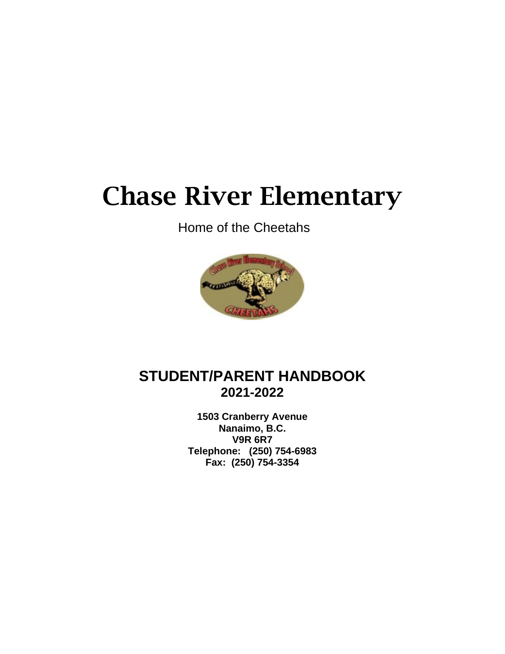# Chase River Elementary

Home of the Cheetahs



# **STUDENT/PARENT HANDBOOK 2021-2022**

**1503 Cranberry Avenue Nanaimo, B.C. V9R 6R7 Telephone: (250) 754-6983 Fax: (250) 754-3354**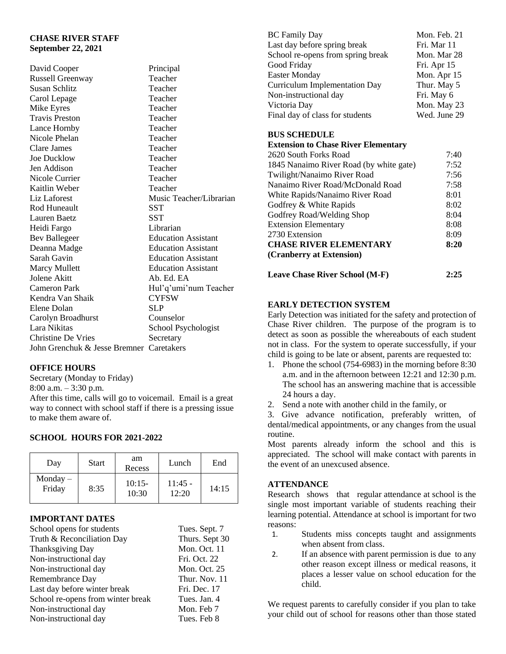# **CHASE RIVER STAFF September 22, 2021**

David Cooper Principal Russell Greenway Teacher Susan Schlitz Teacher Carol Lepage Teacher<br>
Mike Evres Teacher Mike Eyres Travis Preston Teacher Lance Hornby Teacher Nicole Phelan Teacher Clare James Teacher Joe Ducklow Teacher Jen Addison Teacher Nicole Currier Teacher Kaitlin Weber Teacher Liz Laforest Music Teacher/Librarian Rod Huneault SST Lauren Baetz SST Heidi Fargo Librarian Bev Ballegeer Education Assistant Deanna Madge Education Assistant Sarah Gavin **Education Assistant** Marcy Mullett Education Assistant Jolene Akitt Ab. Ed. EA Cameron Park Hul'q'umi'num Teacher Kendra Van Shaik Elene Dolan SLP Carolyn Broadhurst Counselor Lara Nikitas School Psychologist Christine De Vries Secretary John Grenchuk & Jesse Bremner Caretakers

# **OFFICE HOURS**

Secretary (Monday to Friday) 8:00 a.m. – 3:30 p.m. After this time, calls will go to voicemail. Email is a great way to connect with school staff if there is a pressing issue to make them aware of.

# **SCHOOL HOURS FOR 2021-2022**

| Day                  | Start | am<br>Recess      | Lunch              | End   |
|----------------------|-------|-------------------|--------------------|-------|
| $Monday -$<br>Friday | 8:35  | $10:15-$<br>10:30 | $11:45 -$<br>12:20 | 14:15 |

# **IMPORTANT DATES**

| School opens for students         | Tues. Sept. 7  |
|-----------------------------------|----------------|
| Truth & Reconciliation Day        | Thurs. Sept 30 |
| <b>Thanksgiving Day</b>           | Mon. Oct. 11   |
| Non-instructional day             | Fri. Oct. 22   |
| Non-instructional day             | Mon. Oct. 25   |
| Remembrance Day                   | Thur. Nov. 11  |
| Last day before winter break      | Fri. Dec. 17   |
| School re-opens from winter break | Tues. Jan. 4   |
| Non-instructional day             | Mon. Feb 7     |
| Non-instructional day             | Tues. Feb 8    |

| <b>BC</b> Family Day                 | Mon. Feb. 21 |
|--------------------------------------|--------------|
| Last day before spring break         | Fri. Mar 11  |
| School re-opens from spring break    | Mon. Mar 28  |
| Good Friday                          | Fri. Apr 15  |
| <b>Easter Monday</b>                 | Mon. Apr 15  |
| <b>Curriculum Implementation Day</b> | Thur. May 5  |
| Non-instructional day                | Fri. May 6   |
| Victoria Day                         | Mon. May 23  |
| Final day of class for students      | Wed. June 29 |

#### **BUS SCHEDULE**

#### **Extension to Chase River Elementary**

| 2620 South Forks Road                   | 7:40 |
|-----------------------------------------|------|
| 1845 Nanaimo River Road (by white gate) | 7:52 |
| Twilight/Nanaimo River Road             | 7:56 |
| Nanaimo River Road/McDonald Road        | 7:58 |
| White Rapids/Nanaimo River Road         | 8:01 |
| Godfrey & White Rapids                  | 8:02 |
| Godfrey Road/Welding Shop               | 8:04 |
| <b>Extension Elementary</b>             | 8:08 |
| 2730 Extension                          | 8:09 |
| <b>CHASE RIVER ELEMENTARY</b>           | 8:20 |
| (Cranberry at Extension)                |      |
|                                         |      |

# **Leave Chase River School (M-F) 2:25**

# **EARLY DETECTION SYSTEM**

Early Detection was initiated for the safety and protection of Chase River children. The purpose of the program is to detect as soon as possible the whereabouts of each student not in class. For the system to operate successfully, if your child is going to be late or absent, parents are requested to:

- 1. Phone the school (754-6983) in the morning before 8:30 a.m. and in the afternoon between 12:21 and 12:30 p.m. The school has an answering machine that is accessible 24 hours a day.
- 2. Send a note with another child in the family, or

3. Give advance notification, preferably written, of dental/medical appointments, or any changes from the usual routine.

Most parents already inform the school and this is appreciated. The school will make contact with parents in the event of an unexcused absence.

# **ATTENDANCE**

Research shows that regular attendance at school is the single most important variable of students reaching their learning potential. Attendance at school is important for two reasons:

- 1. Students miss concepts taught and assignments when absent from class.
- 2. If an absence with parent permission is due to any other reason except illness or medical reasons, it places a lesser value on school education for the child.

We request parents to carefully consider if you plan to take your child out of school for reasons other than those stated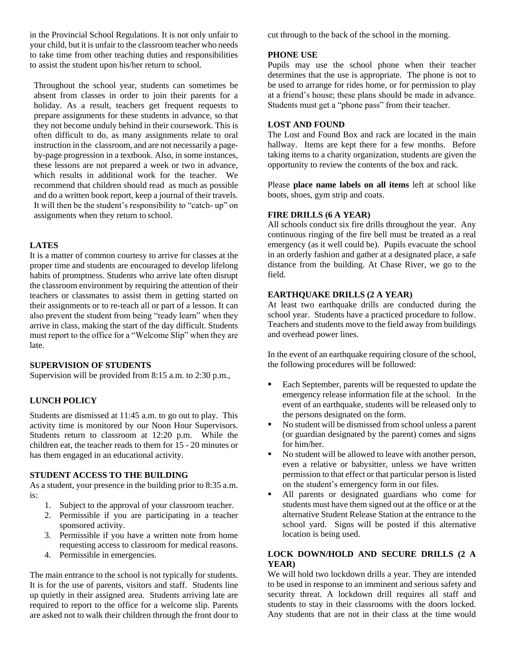in the Provincial School Regulations. It is not only unfair to your child, but it is unfair to the classroom teacher who needs to take time from other teaching duties and responsibilities to assist the student upon his/her return to school.

Throughout the school year, students can sometimes be absent from classes in order to join their parents for a holiday. As a result, teachers get frequent requests to prepare assignments for these students in advance, so that they not become unduly behind in their coursework. This is often difficult to do, as many assignments relate to oral instruction in the classroom, and are not necessarily a pageby-page progression in a textbook. Also, in some instances, these lessons are not prepared a week or two in advance, which results in additional work for the teacher. We recommend that children should read as much as possible and do a written book report, keep a journal of their travels. It will then be the student's responsibility to "catch- up" on assignments when they return to school.

# **LATES**

It is a matter of common courtesy to arrive for classes at the proper time and students are encouraged to develop lifelong habits of promptness. Students who arrive late often disrupt the classroom environment by requiring the attention of their teachers or classmates to assist them in getting started on their assignments or to re-teach all or part of a lesson. It can also prevent the student from being "ready learn" when they arrive in class, making the start of the day difficult. Students must report to the office for a "Welcome Slip" when they are late.

#### **SUPERVISION OF STUDENTS**

Supervision will be provided from 8:15 a.m. to 2:30 p.m.,

# **LUNCH POLICY**

Students are dismissed at 11:45 a.m. to go out to play. This activity time is monitored by our Noon Hour Supervisors. Students return to classroom at 12:20 p.m. While the children eat, the teacher reads to them for 15 - 20 minutes or has them engaged in an educational activity.

#### **STUDENT ACCESS TO THE BUILDING**

As a student, your presence in the building prior to 8:35 a.m. is:

- 1. Subject to the approval of your classroom teacher.
- 2. Permissible if you are participating in a teacher sponsored activity.
- 3. Permissible if you have a written note from home requesting access to classroom for medical reasons.
- 4. Permissible in emergencies.

The main entrance to the school is not typically for students. It is for the use of parents, visitors and staff. Students line up quietly in their assigned area. Students arriving late are required to report to the office for a welcome slip. Parents are asked not to walk their children through the front door to cut through to the back of the school in the morning.

# **PHONE USE**

Pupils may use the school phone when their teacher determines that the use is appropriate. The phone is not to be used to arrange for rides home, or for permission to play at a friend's house; these plans should be made in advance. Students must get a "phone pass" from their teacher.

# **LOST AND FOUND**

The Lost and Found Box and rack are located in the main hallway. Items are kept there for a few months. Before taking items to a charity organization, students are given the opportunity to review the contents of the box and rack.

Please **place name labels on all items** left at school like boots, shoes, gym strip and coats.

# **FIRE DRILLS (6 A YEAR)**

All schools conduct six fire drills throughout the year. Any continuous ringing of the fire bell must be treated as a real emergency (as it well could be). Pupils evacuate the school in an orderly fashion and gather at a designated place, a safe distance from the building. At Chase River, we go to the field.

# **EARTHQUAKE DRILLS (2 A YEAR)**

At least two earthquake drills are conducted during the school year. Students have a practiced procedure to follow. Teachers and students move to the field away from buildings and overhead power lines.

In the event of an earthquake requiring closure of the school, the following procedures will be followed:

- Each September, parents will be requested to update the emergency release information file at the school. In the event of an earthquake, students will be released only to the persons designated on the form.
- No student will be dismissed from school unless a parent (or guardian designated by the parent) comes and signs for him/her.
- No student will be allowed to leave with another person, even a relative or babysitter, unless we have written permission to that effect or that particular person is listed on the student's emergency form in our files.
- All parents or designated guardians who come for students must have them signed out at the office or at the alternative Student Release Station at the entrance to the school yard. Signs will be posted if this alternative location is being used.

# **LOCK DOWN/HOLD AND SECURE DRILLS (2 A YEAR)**

We will hold two lockdown drills a year. They are intended to be used in response to an imminent and serious safety and security threat. A lockdown drill requires all staff and students to stay in their classrooms with the doors locked. Any students that are not in their class at the time would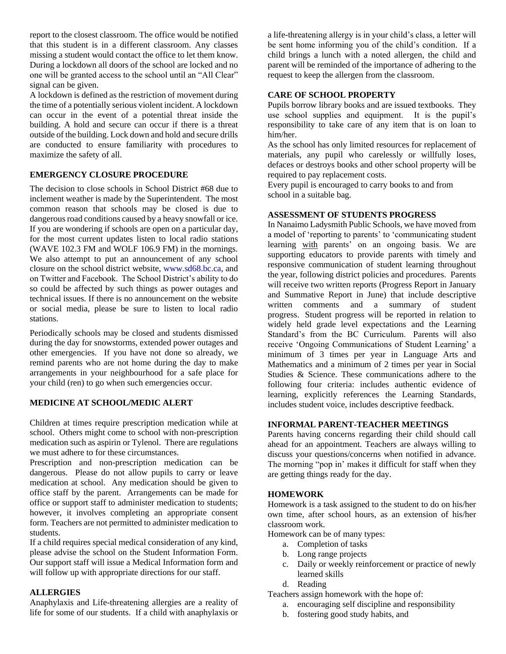report to the closest classroom. The office would be notified that this student is in a different classroom. Any classes missing a student would contact the office to let them know. During a lockdown all doors of the school are locked and no one will be granted access to the school until an "All Clear" signal can be given.

A lockdown is defined as the restriction of movement during the time of a potentially serious violent incident. A lockdown can occur in the event of a potential threat inside the building. A hold and secure can occur if there is a threat outside of the building. Lock down and hold and secure drills are conducted to ensure familiarity with procedures to maximize the safety of all.

# **EMERGENCY CLOSURE PROCEDURE**

The decision to close schools in School District #68 due to inclement weather is made by the Superintendent. The most common reason that schools may be closed is due to dangerous road conditions caused by a heavy snowfall or ice. If you are wondering if schools are open on a particular day, for the most current updates listen to local radio stations (WAVE 102.3 FM and WOLF 106.9 FM) in the mornings. We also attempt to put an announcement of any school closure on the school district website, [www.sd68.bc.ca,](http://www.sd68.bc.ca/) and on Twitter and Facebook. The School District's ability to do so could be affected by such things as power outages and technical issues. If there is no announcement on the website or social media, please be sure to listen to local radio stations.

Periodically schools may be closed and students dismissed during the day for snowstorms, extended power outages and other emergencies. If you have not done so already, we remind parents who are not home during the day to make arrangements in your neighbourhood for a safe place for your child (ren) to go when such emergencies occur.

#### **MEDICINE AT SCHOOL/MEDIC ALERT**

Children at times require prescription medication while at school. Others might come to school with non-prescription medication such as aspirin or Tylenol. There are regulations we must adhere to for these circumstances.

Prescription and non-prescription medication can be dangerous. Please do not allow pupils to carry or leave medication at school. Any medication should be given to office staff by the parent. Arrangements can be made for office or support staff to administer medication to students; however, it involves completing an appropriate consent form. Teachers are not permitted to administer medication to students.

If a child requires special medical consideration of any kind, please advise the school on the Student Information Form. Our support staff will issue a Medical Information form and will follow up with appropriate directions for our staff.

#### **ALLERGIES**

Anaphylaxis and Life-threatening allergies are a reality of life for some of our students. If a child with anaphylaxis or

a life-threatening allergy is in your child's class, a letter will be sent home informing you of the child's condition. If a child brings a lunch with a noted allergen, the child and parent will be reminded of the importance of adhering to the request to keep the allergen from the classroom.

# **CARE OF SCHOOL PROPERTY**

Pupils borrow library books and are issued textbooks. They use school supplies and equipment. It is the pupil's responsibility to take care of any item that is on loan to him/her.

As the school has only limited resources for replacement of materials, any pupil who carelessly or willfully loses, defaces or destroys books and other school property will be required to pay replacement costs.

Every pupil is encouraged to carry books to and from school in a suitable bag.

#### **ASSESSMENT OF STUDENTS PROGRESS**

In Nanaimo Ladysmith Public Schools, we have moved from a model of 'reporting to parents' to 'communicating student learning with parents' on an ongoing basis. We are supporting educators to provide parents with timely and responsive communication of student learning throughout the year, following district policies and procedures. Parents will receive two written reports (Progress Report in January and Summative Report in June) that include descriptive written comments and a summary of student progress. Student progress will be reported in relation to widely held grade level expectations and the Learning Standard's from the BC Curriculum. Parents will also receive 'Ongoing Communications of Student Learning' a minimum of 3 times per year in Language Arts and Mathematics and a minimum of 2 times per year in Social Studies & Science. These communications adhere to the following four criteria: includes authentic evidence of learning, explicitly references the Learning Standards, includes student voice, includes descriptive feedback.

#### **INFORMAL PARENT-TEACHER MEETINGS**

Parents having concerns regarding their child should call ahead for an appointment. Teachers are always willing to discuss your questions/concerns when notified in advance. The morning "pop in' makes it difficult for staff when they are getting things ready for the day.

#### **HOMEWORK**

Homework is a task assigned to the student to do on his/her own time, after school hours, as an extension of his/her classroom work.

Homework can be of many types:

- a. Completion of tasks
- b. Long range projects
- c. Daily or weekly reinforcement or practice of newly learned skills
- d. Reading

Teachers assign homework with the hope of:

- a. encouraging self discipline and responsibility
- b. fostering good study habits, and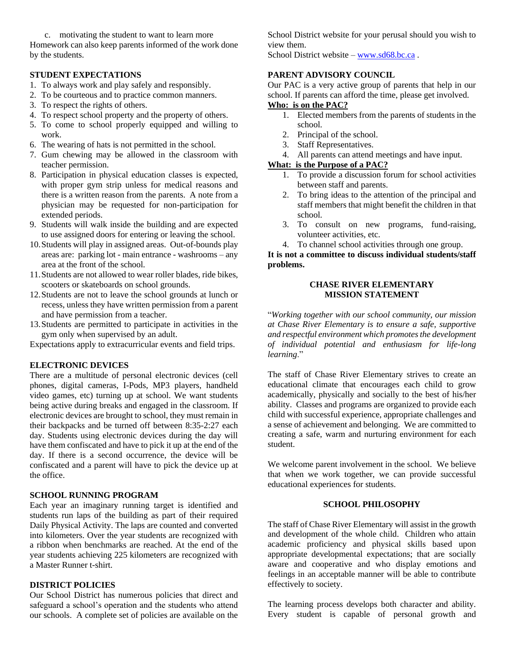c. motivating the student to want to learn more Homework can also keep parents informed of the work done by the students.

#### **STUDENT EXPECTATIONS**

- 1. To always work and play safely and responsibly.
- 2. To be courteous and to practice common manners.
- 3. To respect the rights of others.
- 4. To respect school property and the property of others.
- 5. To come to school properly equipped and willing to work.
- 6. The wearing of hats is not permitted in the school.
- 7. Gum chewing may be allowed in the classroom with teacher permission.
- 8. Participation in physical education classes is expected, with proper gym strip unless for medical reasons and there is a written reason from the parents. A note from a physician may be requested for non-participation for extended periods.
- 9. Students will walk inside the building and are expected to use assigned doors for entering or leaving the school.
- 10.Students will play in assigned areas. Out-of-bounds play areas are: parking lot - main entrance - washrooms – any area at the front of the school.
- 11.Students are not allowed to wear roller blades, ride bikes, scooters or skateboards on school grounds.
- 12.Students are not to leave the school grounds at lunch or recess, unless they have written permission from a parent and have permission from a teacher.
- 13.Students are permitted to participate in activities in the gym only when supervised by an adult.

Expectations apply to extracurricular events and field trips.

#### **ELECTRONIC DEVICES**

There are a multitude of personal electronic devices (cell phones, digital cameras, I-Pods, MP3 players, handheld video games, etc) turning up at school. We want students being active during breaks and engaged in the classroom. If electronic devices are brought to school, they must remain in their backpacks and be turned off between 8:35-2:27 each day. Students using electronic devices during the day will have them confiscated and have to pick it up at the end of the day. If there is a second occurrence, the device will be confiscated and a parent will have to pick the device up at the office.

#### **SCHOOL RUNNING PROGRAM**

Each year an imaginary running target is identified and students run laps of the building as part of their required Daily Physical Activity. The laps are counted and converted into kilometers. Over the year students are recognized with a ribbon when benchmarks are reached. At the end of the year students achieving 225 kilometers are recognized with a Master Runner t-shirt.

#### **DISTRICT POLICIES**

Our School District has numerous policies that direct and safeguard a school's operation and the students who attend our schools. A complete set of policies are available on the School District website for your perusal should you wish to view them.

School District website – [www.sd68.bc.ca](http://www.sd68.bc.ca/) .

#### **PARENT ADVISORY COUNCIL**

Our PAC is a very active group of parents that help in our school. If parents can afford the time, please get involved.

# **Who: is on the PAC?**

- 1. Elected members from the parents of students in the school.
- 2. Principal of the school.
- 3. Staff Representatives.
- 4. All parents can attend meetings and have input.

# **What: is the Purpose of a PAC?**

- 1. To provide a discussion forum for school activities between staff and parents.
- 2. To bring ideas to the attention of the principal and staff members that might benefit the children in that school.
- 3. To consult on new programs, fund-raising, volunteer activities, etc.
- 4. To channel school activities through one group.

# **It is not a committee to discuss individual students/staff problems.**

# **CHASE RIVER ELEMENTARY MISSION STATEMENT**

"*Working together with our school community, our mission at Chase River Elementary is to ensure a safe, supportive and respectful environment which promotes the development of individual potential and enthusiasm for life-long learning*."

The staff of Chase River Elementary strives to create an educational climate that encourages each child to grow academically, physically and socially to the best of his/her ability. Classes and programs are organized to provide each child with successful experience, appropriate challenges and a sense of achievement and belonging. We are committed to creating a safe, warm and nurturing environment for each student.

We welcome parent involvement in the school. We believe that when we work together, we can provide successful educational experiences for students.

#### **SCHOOL PHILOSOPHY**

The staff of Chase River Elementary will assist in the growth and development of the whole child. Children who attain academic proficiency and physical skills based upon appropriate developmental expectations; that are socially aware and cooperative and who display emotions and feelings in an acceptable manner will be able to contribute effectively to society.

The learning process develops both character and ability. Every student is capable of personal growth and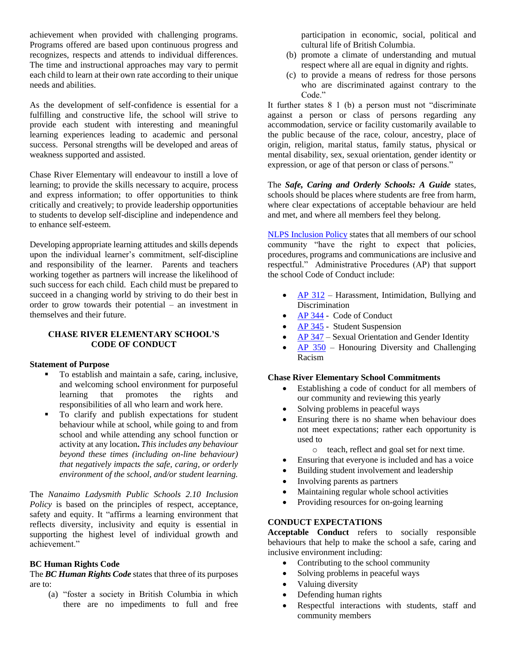achievement when provided with challenging programs. Programs offered are based upon continuous progress and recognizes, respects and attends to individual differences. The time and instructional approaches may vary to permit each child to learn at their own rate according to their unique needs and abilities.

As the development of self-confidence is essential for a fulfilling and constructive life, the school will strive to provide each student with interesting and meaningful learning experiences leading to academic and personal success. Personal strengths will be developed and areas of weakness supported and assisted.

Chase River Elementary will endeavour to instill a love of learning; to provide the skills necessary to acquire, process and express information; to offer opportunities to think critically and creatively; to provide leadership opportunities to students to develop self-discipline and independence and to enhance self-esteem.

Developing appropriate learning attitudes and skills depends upon the individual learner's commitment, self-discipline and responsibility of the learner. Parents and teachers working together as partners will increase the likelihood of such success for each child. Each child must be prepared to succeed in a changing world by striving to do their best in order to grow towards their potential – an investment in themselves and their future.

#### **CHASE RIVER ELEMENTARY SCHOOL'S CODE OF CONDUCT**

#### **Statement of Purpose**

- To establish and maintain a safe, caring, inclusive, and welcoming school environment for purposeful learning that promotes the rights and responsibilities of all who learn and work here.
- To clarify and publish expectations for student behaviour while at school, while going to and from school and while attending any school function or activity at any location**.** *This includes any behaviour beyond these times (including on-line behaviour) that negatively impacts the safe, caring, or orderly environment of the school, and/or student learning.*

The *Nanaimo Ladysmith Public Schools 2.10 Inclusion Policy* is based on the principles of respect, acceptance, safety and equity. It "affirms a learning environment that reflects diversity, inclusivity and equity is essential in supporting the highest level of individual growth and achievement."

#### **BC Human Rights Code**

The *BC Human Rights Code* states that three of its purposes are to:

(a) "foster a society in British Columbia in which there are no impediments to full and free

participation in economic, social, political and cultural life of British Columbia.

- (b) promote a climate of understanding and mutual respect where all are equal in dignity and rights.
- (c) to provide a means of redress for those persons who are discriminated against contrary to the Code."

It further states 8 1 (b) a person must not "discriminate against a person or class of persons regarding any accommodation, service or facility customarily available to the public because of the race, colour, ancestry, place of origin, religion, marital status, family status, physical or mental disability, sex, sexual orientation, gender identity or expression, or age of that person or class of persons."

The *Safe, Caring and Orderly Schools: A Guide* states, schools should be places where students are free from harm, where clear expectations of acceptable behaviour are held and met, and where all members feel they belong.

[NLPS Inclusion Policy](https://www.sd68.bc.ca/wp-content/uploads/Policy/2.0/2.10-Inclusion-Policy-.pdf) states that all members of our school community "have the right to expect that policies, procedures, programs and communications are inclusive and respectful." Administrative Procedures (AP) that support the school Code of Conduct include:

- [AP 312](https://www.sd68.bc.ca/documents/2017/01/ap-312-harassment-intimidation-and-bullying-student.pdf/) Harassment, Intimidation, Bullying and **Discrimination**
- [AP 344](https://www.sd68.bc.ca/wp-content/uploads/Administrative-Procedures/300/AP-344-Code-of-Conduct.pdf) Code of Conduct
- [AP 345](https://www.sd68.bc.ca/wp-content/uploads/Administrative-Procedures/300/AP-345-Student-Suspension.pdf) Student Suspension
- [AP 347](https://www.sd68.bc.ca/wp-content/uploads/AP-347-Sexual-Orientation-and-Gender-Identity.pdf) Sexual Orientation and Gender Identity
- [AP 350](https://www.sd68.bc.ca/documents/2017/01/ap-350-honouring-diversity-and-challenging-racism.pdf/) Honouring Diversity and Challenging Racism

# **Chase River Elementary School Commitments**

- Establishing a code of conduct for all members of our community and reviewing this yearly
- Solving problems in peaceful ways
- Ensuring there is no shame when behaviour does not meet expectations; rather each opportunity is used to
	- o teach, reflect and goal set for next time.
- Ensuring that everyone is included and has a voice
- Building student involvement and leadership
- Involving parents as partners
- Maintaining regular whole school activities
- Providing resources for on-going learning

# **CONDUCT EXPECTATIONS**

**Acceptable Conduct** refers to socially responsible behaviours that help to make the school a safe, caring and inclusive environment including:

- Contributing to the school community
- Solving problems in peaceful ways
- Valuing diversity
- Defending human rights
- Respectful interactions with students, staff and community members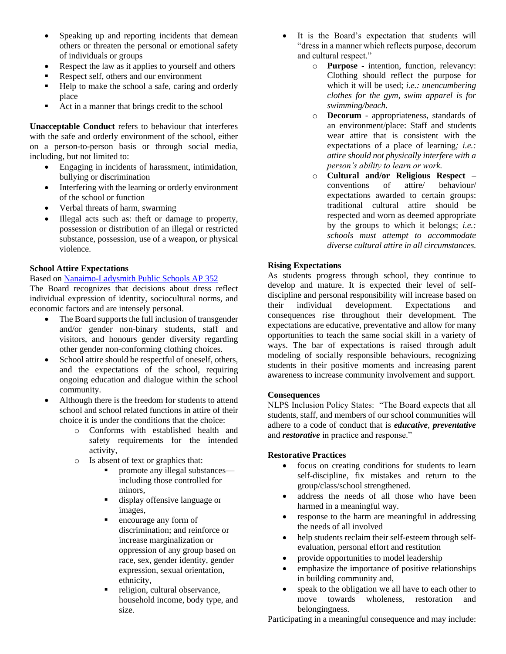- Speaking up and reporting incidents that demean others or threaten the personal or emotional safety of individuals or groups
- Respect the law as it applies to yourself and others
- Respect self, others and our environment
- Help to make the school a safe, caring and orderly place
- Act in a manner that brings credit to the school

**Unacceptable Conduct** refers to behaviour that interferes with the safe and orderly environment of the school, either on a person-to-person basis or through social media, including, but not limited to:

- Engaging in incidents of harassment, intimidation, bullying or discrimination
- Interfering with the learning or orderly environment of the school or function
- Verbal threats of harm, swarming
- Illegal acts such as: theft or damage to property, possession or distribution of an illegal or restricted substance, possession, use of a weapon, or physical violence.

# **School Attire Expectations**

#### Based on [Nanaimo-Ladysmith Public Schools AP 352](https://www.sd68.bc.ca/wp-content/uploads/Administrative-Procedures/300/AP-352-School-Attire-Expectations.pdf)

The Board recognizes that decisions about dress reflect individual expression of identity, sociocultural norms, and economic factors and are intensely personal.

- The Board supports the full inclusion of transgender and/or gender non-binary students, staff and visitors, and honours gender diversity regarding other gender non-conforming clothing choices.
- School attire should be respectful of oneself, others, and the expectations of the school, requiring ongoing education and dialogue within the school community.
- Although there is the freedom for students to attend school and school related functions in attire of their choice it is under the conditions that the choice:
	- o Conforms with established health and safety requirements for the intended activity,
	- o Is absent of text or graphics that:
		- promote any illegal substances including those controlled for minors,
		- display offensive language or images,
		- encourage any form of discrimination; and reinforce or increase marginalization or oppression of any group based on race, sex, gender identity, gender expression, sexual orientation, ethnicity,
		- religion, cultural observance, household income, body type, and size.
- It is the Board's expectation that students will "dress in a manner which reflects purpose, decorum and cultural respect."
	- o **Purpose**  intention, function, relevancy: Clothing should reflect the purpose for which it will be used; *i.e.: unencumbering clothes for the gym, swim apparel is for swimming/beach*.
	- o **Decorum**  appropriateness, standards of an environment/place: Staff and students wear attire that is consistent with the expectations of a place of learning*; i.e.: attire should not physically interfere with a person's ability to learn or work.*
	- o **Cultural and/or Religious Respect**  conventions of attire/ behaviour/ expectations awarded to certain groups: traditional cultural attire should be respected and worn as deemed appropriate by the groups to which it belongs; *i.e.: schools must attempt to accommodate diverse cultural attire in all circumstances.*

# **Rising Expectations**

As students progress through school, they continue to develop and mature. It is expected their level of selfdiscipline and personal responsibility will increase based on their individual development. Expectations and consequences rise throughout their development. The expectations are educative, preventative and allow for many opportunities to teach the same social skill in a variety of ways. The bar of expectations is raised through adult modeling of socially responsible behaviours, recognizing students in their positive moments and increasing parent awareness to increase community involvement and support.

# **Consequences**

NLPS Inclusion Policy States: "The Board expects that all students, staff, and members of our school communities will adhere to a code of conduct that is *educative*, *preventative* and *restorative* in practice and response."

# **Restorative Practices**

- focus on creating conditions for students to learn self-discipline, fix mistakes and return to the group/class/school strengthened.
- address the needs of all those who have been harmed in a meaningful way.
- response to the harm are meaningful in addressing the needs of all involved
- help students reclaim their self-esteem through selfevaluation, personal effort and restitution
- provide opportunities to model leadership
- emphasize the importance of positive relationships in building community and,
- speak to the obligation we all have to each other to move towards wholeness, restoration and belongingness.

Participating in a meaningful consequence and may include: